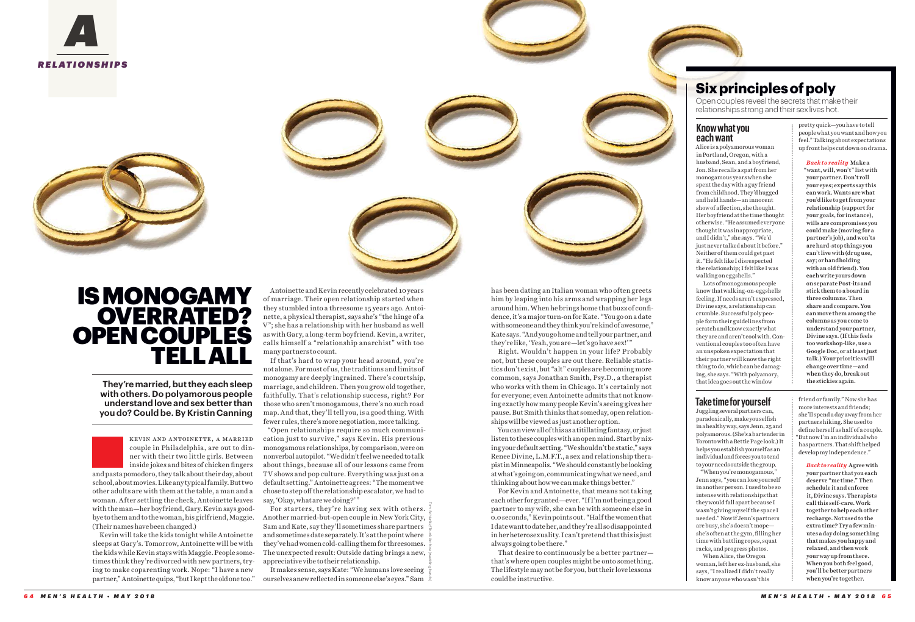

**They're married, but they each sleep with others. Do polyamorous people understand love and sex better than you do? Could be. By Kristin Canning**



# **Know what you each want**

Alice is a polyamorous woman in Portland, Oregon, with a husband, Sean, and a boyfriend, Jon. She recalls a spat from her monogamous years when she spent the day with a guy friend from childhood. They'd hugged and held hands—an innocent show of affection, she thought. Her boyfriend at the time thought otherwise. "He assumed everyone thought it was inappropriate, and I didn't," she says. "We'd just never talked about it before." Neither of them could get past it. "He felt like I disrespected the relationship; I felt like I was walking on eggshells."

Lots of monogamous people know that walking-on-eggshells feeling. If needs aren't expressed, Divine says, a relationship can crumble. Successful poly people form their guidelines from scratch and know exactly what they are and aren't cool with. Conventional couples too often have an unspoken expectation that their partner will know the right thing to do, which can be damaging, she says. "With polyamory, that idea goes out the window

has been dating an Italian woman who often greets him by leaping into his arms and wrapping her legs around him. When he brings home that buzz of confidence, it's a major turn-on for Kate. "You go on a date with someone and they think you're kind of awesome," Kate says. "And you go home and tell your partner, and they're like, 'Yeah, you are—let's go have sex!'"

Right. Wouldn't happen in your life? Probably not, but these couples are out there. Reliable statistics don't exist, but "alt" couples are becoming more common, says Jonathan Smith, Psy.D., a therapist who works with them in Chicago. It's certainly not for everyone; even Antoinette admits that not knowing exactly how many people Kevin's seeing gives her pause. But Smith thinks that someday, open relationships will be viewed as just another option.

You can view all of this as a titillating fantasy, or just listen to these couples with an open mind. Start by nixing your default setting. "We shouldn't be static," says Renee Divine, L.M.F.T., a sex and relationship therapist in Minneapolis. "We should constantly be looking at what's going on, communicating what we need, and thinking about how we can make things better."

For Kevin and Antoinette, that means not taking each other for granted—ever. "If I'm not being a good partner to my wife, she can be with someone else in 0.0 seconds," Kevin points out. "Half the women that I date want to date her, and they're all so disappointed in her heterosexuality. I can't pretend that this is just always going to be there."

That desire to continuously be a better partner that's where open couples might be onto something. The lifestyle may not be for you, but their love lessons could be instructive.

# **Six principles of poly**

Open couples reveal the secrets that make their relationships strong and their sex lives hot.

Tom Schierlitz/Trunk Archive (wedding bands) For starters, they're having sex with others. Another married-but-open couple in New York City, Sam and Kate, say they'll sometimes share partners and sometimes date separately. It's at the point where they've had women cold-calling them for threesomes. The unexpected result: Outside dating brings a new, appreciative vibe to their relationship.

kevin and antoinette, a married couple in Philadelphia, are out to dinner with their two little girls. Between inside jokes and bites of chicken fingers

and pasta pomodoro, they talk about their day, about school, about movies. Like any typical family. But two other adults are with them at the table, a man and a woman. After settling the check, Antoinette leaves with the man—her boyfriend, Gary. Kevin says goodbye to them and to the woman, his girlfriend, Maggie. (Their names have been changed.)

Kevin will take the kids tonight while Antoinette sleeps at Gary's. Tomorrow, Antoinette will be with the kids while Kevin stays with Maggie. People sometimes think they're divorced with new partners, trying to make coparenting work. Nope: "I have a new partner," Antoinette quips, "but I kept the old one too."

# **Take time for yourself**

Juggling several partners can, "When you're monogamous," When Alice, the Oregon

paradoxically, make you selfish in a healthy way, says Jenn, 25 and polyamorous. (She's a bartender in Toronto with a Bettie Page look.) It helps you establish yourself as an individual and forces you to tend to your needs outside the group. Jenn says, "you can lose yourself in another person. I used to be so intense with relationships that they would fall apart because I wasn't giving myself the space I needed." Now if Jenn's partners are busy, she's doesn't mope she's often at the gym, filling her time with battling ropes, squat racks, and progress photos. woman, left her ex-husband, she says, "I realized I didn't really know anyone who wasn't his

Antoinette and Kevin recently celebrated 10 years of marriage. Their open relationship started when they stumbled into a threesome 15 years ago. Antoinette, a physical therapist, says she's "the hinge of a V"; she has a relationship with her husband as well as with Gary, a long-term boyfriend. Kevin, a writer, calls himself a "relationship anarchist" with too many partners to count.

If that's hard to wrap your head around, you're not alone. For most of us, the traditions and limits of monogamy are deeply ingrained. There's courtship, marriage, and children. Then you grow old together, faithfully. That's relationship success, right? For those who aren't monogamous, there's no such road map. And that, they'll tell you, is a good thing. With fewer rules, there's more negotiation, more talking.

"Open relationships require so much communication just to survive," says Kevin. His previous monogamous relationships, by comparison, were on nonverbal autopilot. "We didn't feel we needed to talk about things, because all of our lessons came from TV shows and pop culture. Everything was just on a default setting." Antoinette agrees: "The moment we chose to step off the relationship escalator, we had to say, 'Okay, what are we doing?'"

It makes sense, says Kate: "We humans love seeing ourselves anew reflected in someone else's eyes." Sam

pretty quick—you have to tell people what you want and how you feel." Talking about expectations up front helps cut down on drama.

*Back to reality* Make a "want, will, won't" list with your partner. Don't roll your eyes; experts say this can work. Wants are what you'd like to get from your relationship (support for your goals, for instance), wills are compromises you could make (moving for a partner's job), and won'ts are hard-stop things you can't live with (drug use, say; or handholding with an old friend). You each write yours down on separate Post-its and stick them to a board in three columns. Then share and compare. You can move them among the columns as you come to understand your partner, Divine says. (If this feels too workshop-like, use a Google Doc, or at least just talk.) Your priorities will change over time—and when they do, break out the stickies again.

friend or family." Now she has more interests and friends; she'll spend a day away from her partners hiking. She used to define herself as half of a couple. "But now I'm an individual who has partners. That shift helped develop my independence."

*Back to reality* Agree with your partner that you each deserve "me time." Then schedule it and enforce it, Divine says. Therapists call this self-care. Work together to help each other recharge. Not used to the extra time? Try a few minutes a day doing something that makes you happy and relaxed, and then work your way up from there. When you both feel good, you'll be better partners when you're together.